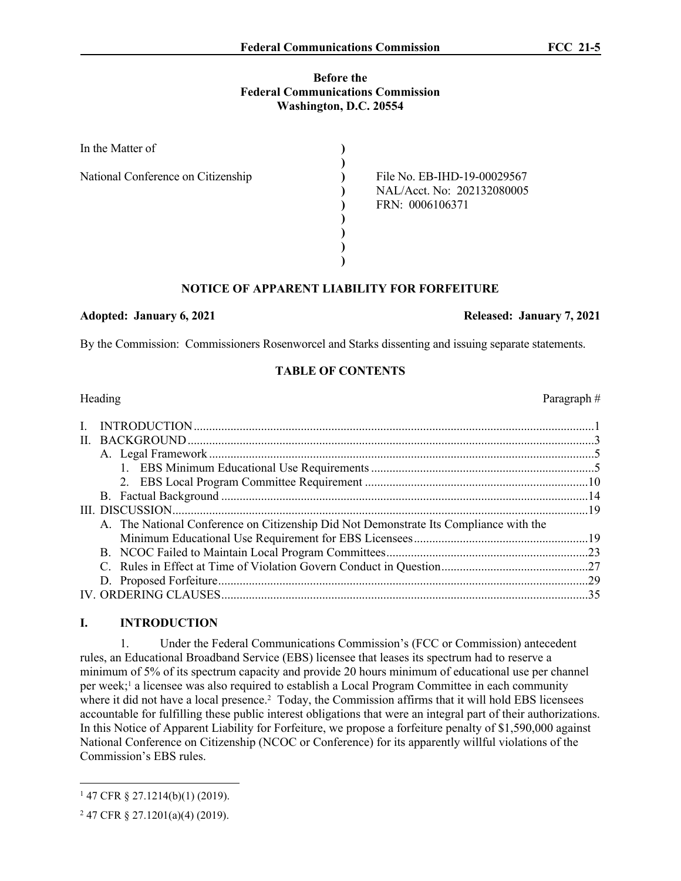## **Before the Federal Communications Commission Washington, D.C. 20554**

| In the Matter of                   |                             |
|------------------------------------|-----------------------------|
|                                    |                             |
| National Conference on Citizenship | File No. EB-IHD-19-00029567 |
|                                    | NAL/Acct. No: 202132080005  |
|                                    | FRN: 0006106371             |
|                                    |                             |
|                                    |                             |
|                                    |                             |
|                                    |                             |

# **NOTICE OF APPARENT LIABILITY FOR FORFEITURE**

## **Adopted: January 6, 2021 Released: January 7, 2021**

By the Commission: Commissioners Rosenworcel and Starks dissenting and issuing separate statements.

# **TABLE OF CONTENTS**

| A. The National Conference on Citizenship Did Not Demonstrate Its Compliance with the |    |
|---------------------------------------------------------------------------------------|----|
|                                                                                       |    |
|                                                                                       |    |
|                                                                                       |    |
|                                                                                       |    |
|                                                                                       | 35 |
|                                                                                       |    |

# **I. INTRODUCTION**

1. Under the Federal Communications Commission's (FCC or Commission) antecedent rules, an Educational Broadband Service (EBS) licensee that leases its spectrum had to reserve a minimum of 5% of its spectrum capacity and provide 20 hours minimum of educational use per channel per week;<sup>1</sup> a licensee was also required to establish a Local Program Committee in each community where it did not have a local presence.<sup>2</sup> Today, the Commission affirms that it will hold EBS licensees accountable for fulfilling these public interest obligations that were an integral part of their authorizations. In this Notice of Apparent Liability for Forfeiture, we propose a forfeiture penalty of \$1,590,000 against National Conference on Citizenship (NCOC or Conference) for its apparently willful violations of the Commission's EBS rules.

Heading Paragraph #

<sup>1</sup> 47 CFR § 27.1214(b)(1) (2019).

<sup>2</sup> 47 CFR § 27.1201(a)(4) (2019).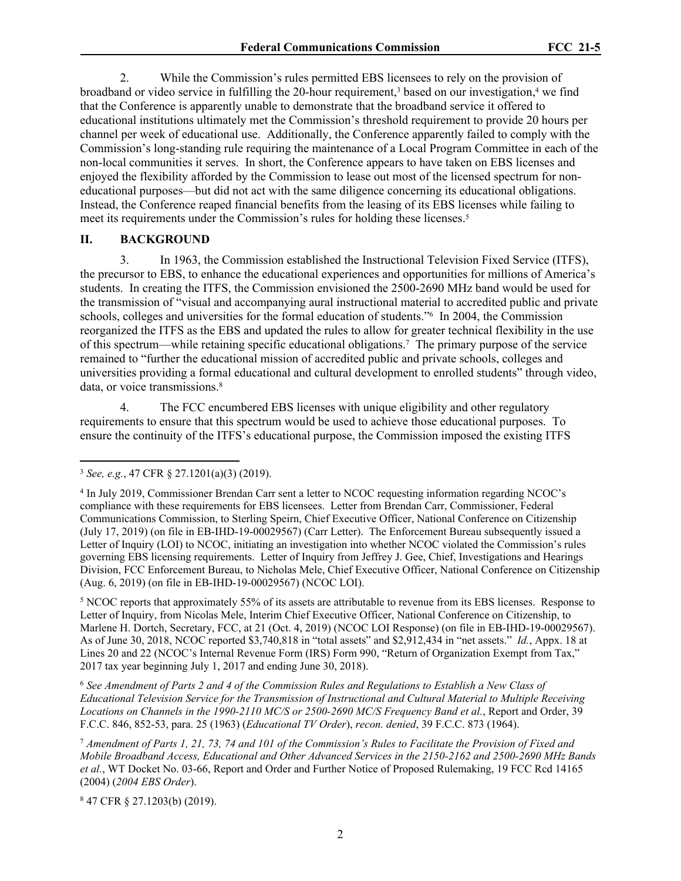2. While the Commission's rules permitted EBS licensees to rely on the provision of broadband or video service in fulfilling the 20-hour requirement,<sup>3</sup> based on our investigation,<sup>4</sup> we find that the Conference is apparently unable to demonstrate that the broadband service it offered to educational institutions ultimately met the Commission's threshold requirement to provide 20 hours per channel per week of educational use. Additionally, the Conference apparently failed to comply with the Commission's long-standing rule requiring the maintenance of a Local Program Committee in each of the non-local communities it serves. In short, the Conference appears to have taken on EBS licenses and enjoyed the flexibility afforded by the Commission to lease out most of the licensed spectrum for noneducational purposes—but did not act with the same diligence concerning its educational obligations. Instead, the Conference reaped financial benefits from the leasing of its EBS licenses while failing to meet its requirements under the Commission's rules for holding these licenses.<sup>5</sup>

## **II. BACKGROUND**

3. In 1963, the Commission established the Instructional Television Fixed Service (ITFS), the precursor to EBS, to enhance the educational experiences and opportunities for millions of America's students. In creating the ITFS, the Commission envisioned the 2500-2690 MHz band would be used for the transmission of "visual and accompanying aural instructional material to accredited public and private schools, colleges and universities for the formal education of students."<sup>6</sup> In 2004, the Commission reorganized the ITFS as the EBS and updated the rules to allow for greater technical flexibility in the use of this spectrum—while retaining specific educational obligations.<sup>7</sup> The primary purpose of the service remained to "further the educational mission of accredited public and private schools, colleges and universities providing a formal educational and cultural development to enrolled students" through video, data, or voice transmissions.<sup>8</sup>

4. The FCC encumbered EBS licenses with unique eligibility and other regulatory requirements to ensure that this spectrum would be used to achieve those educational purposes. To ensure the continuity of the ITFS's educational purpose, the Commission imposed the existing ITFS

<sup>5</sup> NCOC reports that approximately 55% of its assets are attributable to revenue from its EBS licenses. Response to Letter of Inquiry, from Nicolas Mele, Interim Chief Executive Officer, National Conference on Citizenship, to Marlene H. Dortch, Secretary, FCC, at 21 (Oct. 4, 2019) (NCOC LOI Response) (on file in EB-IHD-19-00029567). As of June 30, 2018, NCOC reported \$3,740,818 in "total assets" and \$2,912,434 in "net assets." *Id.*, Appx. 18 at Lines 20 and 22 (NCOC's Internal Revenue Form (IRS) Form 990, "Return of Organization Exempt from Tax," 2017 tax year beginning July 1, 2017 and ending June 30, 2018).

<sup>6</sup> *See Amendment of Parts 2 and 4 of the Commission Rules and Regulations to Establish a New Class of Educational Television Service for the Transmission of Instructional and Cultural Material to Multiple Receiving Locations on Channels in the 1990-2110 MC/S or 2500-2690 MC/S Frequency Band et al.*, Report and Order, 39 F.C.C. 846, 852-53, para. 25 (1963) (*Educational TV Order*), *recon. denied*, 39 F.C.C. 873 (1964).

<sup>7</sup> *Amendment of Parts 1, 21, 73, 74 and 101 of the Commission's Rules to Facilitate the Provision of Fixed and Mobile Broadband Access, Educational and Other Advanced Services in the 2150-2162 and 2500-2690 MHz Bands et al.*, WT Docket No. 03-66, Report and Order and Further Notice of Proposed Rulemaking, 19 FCC Rcd 14165 (2004) (*2004 EBS Order*).

8 47 CFR § 27.1203(b) (2019).

<sup>3</sup> *See, e.g.*, 47 CFR § 27.1201(a)(3) (2019).

<sup>4</sup> In July 2019, Commissioner Brendan Carr sent a letter to NCOC requesting information regarding NCOC's compliance with these requirements for EBS licensees. Letter from Brendan Carr, Commissioner, Federal Communications Commission, to Sterling Speirn, Chief Executive Officer, National Conference on Citizenship (July 17, 2019) (on file in EB-IHD-19-00029567) (Carr Letter). The Enforcement Bureau subsequently issued a Letter of Inquiry (LOI) to NCOC, initiating an investigation into whether NCOC violated the Commission's rules governing EBS licensing requirements. Letter of Inquiry from Jeffrey J. Gee, Chief, Investigations and Hearings Division, FCC Enforcement Bureau, to Nicholas Mele, Chief Executive Officer, National Conference on Citizenship (Aug. 6, 2019) (on file in EB-IHD-19-00029567) (NCOC LOI).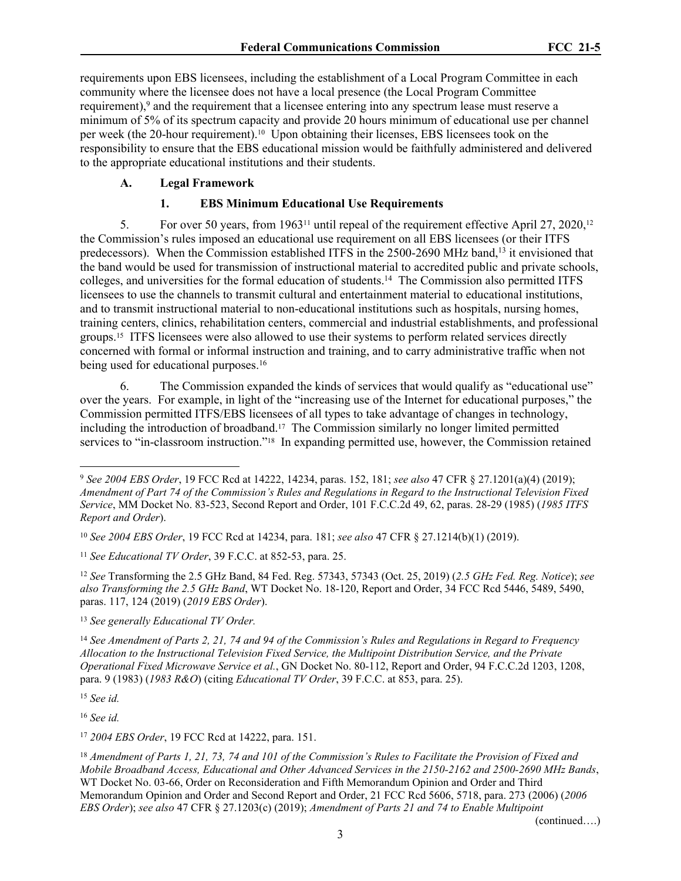requirements upon EBS licensees, including the establishment of a Local Program Committee in each community where the licensee does not have a local presence (the Local Program Committee requirement),<sup>9</sup> and the requirement that a licensee entering into any spectrum lease must reserve a minimum of 5% of its spectrum capacity and provide 20 hours minimum of educational use per channel per week (the 20-hour requirement).10 Upon obtaining their licenses, EBS licensees took on the responsibility to ensure that the EBS educational mission would be faithfully administered and delivered to the appropriate educational institutions and their students.

# **A. Legal Framework**

## **1. EBS Minimum Educational Use Requirements**

5. For over 50 years, from 196311 until repeal of the requirement effective April 27, 2020,<sup>12</sup> the Commission's rules imposed an educational use requirement on all EBS licensees (or their ITFS predecessors). When the Commission established ITFS in the 2500-2690 MHz band,<sup>13</sup> it envisioned that the band would be used for transmission of instructional material to accredited public and private schools, colleges, and universities for the formal education of students.<sup>14</sup> The Commission also permitted ITFS licensees to use the channels to transmit cultural and entertainment material to educational institutions, and to transmit instructional material to non-educational institutions such as hospitals, nursing homes, training centers, clinics, rehabilitation centers, commercial and industrial establishments, and professional groups.15 ITFS licensees were also allowed to use their systems to perform related services directly concerned with formal or informal instruction and training, and to carry administrative traffic when not being used for educational purposes.<sup>16</sup>

6. The Commission expanded the kinds of services that would qualify as "educational use" over the years. For example, in light of the "increasing use of the Internet for educational purposes," the Commission permitted ITFS/EBS licensees of all types to take advantage of changes in technology, including the introduction of broadband.<sup>17</sup> The Commission similarly no longer limited permitted services to "in-classroom instruction."18 In expanding permitted use, however, the Commission retained

<sup>12</sup> *See* Transforming the 2.5 GHz Band, 84 Fed. Reg. 57343, 57343 (Oct. 25, 2019) (*2.5 GHz Fed. Reg. Notice*); *see also Transforming the 2.5 GHz Band*, WT Docket No. 18-120, Report and Order, 34 FCC Rcd 5446, 5489, 5490, paras. 117, 124 (2019) (*2019 EBS Order*).

<sup>13</sup> *See generally Educational TV Order.*

<sup>14</sup> *See Amendment of Parts 2, 21, 74 and 94 of the Commission's Rules and Regulations in Regard to Frequency Allocation to the Instructional Television Fixed Service, the Multipoint Distribution Service, and the Private Operational Fixed Microwave Service et al.*, GN Docket No. 80-112, Report and Order, 94 F.C.C.2d 1203, 1208, para. 9 (1983) (*1983 R&O*) (citing *Educational TV Order*, 39 F.C.C. at 853, para. 25).

<sup>15</sup> *See id.*

<sup>16</sup> *See id.* 

<sup>17</sup> *2004 EBS Order*, 19 FCC Rcd at 14222, para. 151.

<sup>18</sup> *Amendment of Parts 1, 21, 73, 74 and 101 of the Commission's Rules to Facilitate the Provision of Fixed and Mobile Broadband Access, Educational and Other Advanced Services in the 2150-2162 and 2500-2690 MHz Bands*, WT Docket No. 03-66, Order on Reconsideration and Fifth Memorandum Opinion and Order and Third Memorandum Opinion and Order and Second Report and Order, 21 FCC Rcd 5606, 5718, para. 273 (2006) (*2006 EBS Order*); *see also* 47 CFR § 27.1203(c) (2019); *Amendment of Parts 21 and 74 to Enable Multipoint* 

(continued….)

<sup>9</sup> *See 2004 EBS Order*, 19 FCC Rcd at 14222, 14234, paras. 152, 181; *see also* 47 CFR § 27.1201(a)(4) (2019); *Amendment of Part 74 of the Commission's Rules and Regulations in Regard to the Instructional Television Fixed Service*, MM Docket No. 83-523, Second Report and Order, 101 F.C.C.2d 49, 62, paras. 28-29 (1985) (*1985 ITFS Report and Order*).

<sup>10</sup> *See 2004 EBS Order*, 19 FCC Rcd at 14234, para. 181; *see also* 47 CFR § 27.1214(b)(1) (2019).

<sup>11</sup> *See Educational TV Order*, 39 F.C.C. at 852-53, para. 25.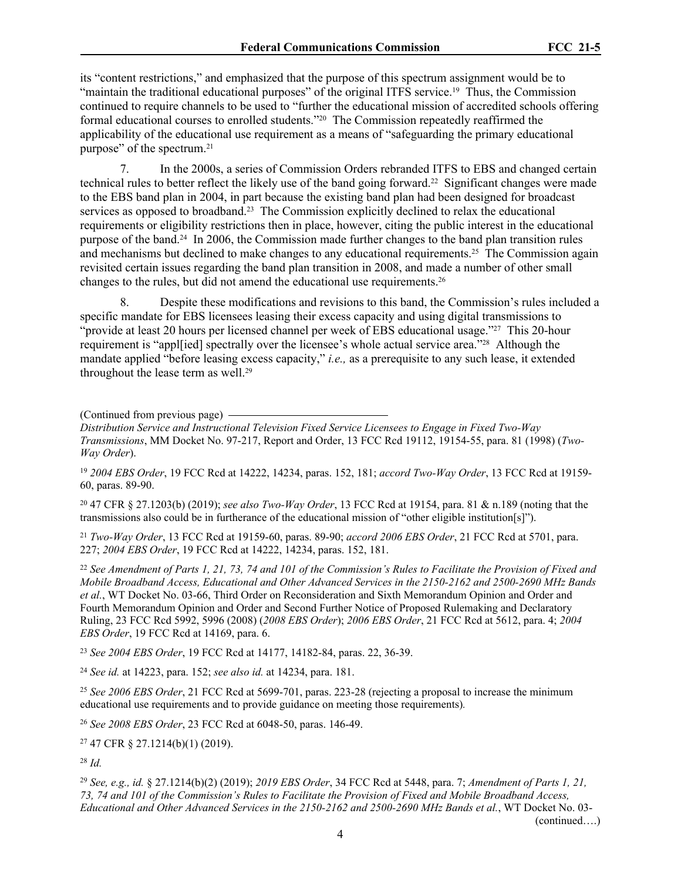its "content restrictions," and emphasized that the purpose of this spectrum assignment would be to "maintain the traditional educational purposes" of the original ITFS service.<sup>19</sup> Thus, the Commission continued to require channels to be used to "further the educational mission of accredited schools offering formal educational courses to enrolled students."20 The Commission repeatedly reaffirmed the applicability of the educational use requirement as a means of "safeguarding the primary educational purpose" of the spectrum.<sup>21</sup>

7. In the 2000s, a series of Commission Orders rebranded ITFS to EBS and changed certain technical rules to better reflect the likely use of the band going forward.22 Significant changes were made to the EBS band plan in 2004, in part because the existing band plan had been designed for broadcast services as opposed to broadband.<sup>23</sup> The Commission explicitly declined to relax the educational requirements or eligibility restrictions then in place, however, citing the public interest in the educational purpose of the band.24 In 2006, the Commission made further changes to the band plan transition rules and mechanisms but declined to make changes to any educational requirements.25 The Commission again revisited certain issues regarding the band plan transition in 2008, and made a number of other small changes to the rules, but did not amend the educational use requirements.<sup>26</sup>

8. Despite these modifications and revisions to this band, the Commission's rules included a specific mandate for EBS licensees leasing their excess capacity and using digital transmissions to "provide at least 20 hours per licensed channel per week of EBS educational usage."<sup>27</sup> This 20-hour requirement is "appl[ied] spectrally over the licensee's whole actual service area."28 Although the mandate applied "before leasing excess capacity," *i.e.,* as a prerequisite to any such lease, it extended throughout the lease term as well.<sup>29</sup>

(Continued from previous page)

*Distribution Service and Instructional Television Fixed Service Licensees to Engage in Fixed Two-Way Transmissions*, MM Docket No. 97-217, Report and Order, 13 FCC Rcd 19112, 19154-55, para. 81 (1998) (*Two-Way Order*).

<sup>19</sup> *2004 EBS Order*, 19 FCC Rcd at 14222, 14234, paras. 152, 181; *accord Two-Way Order*, 13 FCC Rcd at 19159- 60, paras. 89-90.

<sup>20</sup> 47 CFR § 27.1203(b) (2019); *see also Two-Way Order*, 13 FCC Rcd at 19154, para. 81 & n.189 (noting that the transmissions also could be in furtherance of the educational mission of "other eligible institution[s]").

<sup>21</sup> *Two-Way Order*, 13 FCC Rcd at 19159-60, paras. 89-90; *accord 2006 EBS Order*, 21 FCC Rcd at 5701, para. 227; *2004 EBS Order*, 19 FCC Rcd at 14222, 14234, paras. 152, 181.

<sup>22</sup> *See Amendment of Parts 1, 21, 73, 74 and 101 of the Commission's Rules to Facilitate the Provision of Fixed and Mobile Broadband Access, Educational and Other Advanced Services in the 2150-2162 and 2500-2690 MHz Bands et al.*, WT Docket No. 03-66, Third Order on Reconsideration and Sixth Memorandum Opinion and Order and Fourth Memorandum Opinion and Order and Second Further Notice of Proposed Rulemaking and Declaratory Ruling, 23 FCC Rcd 5992, 5996 (2008) (*2008 EBS Order*); *2006 EBS Order*, 21 FCC Rcd at 5612, para. 4; *2004 EBS Order*, 19 FCC Rcd at 14169, para. 6.

<sup>23</sup> *See 2004 EBS Order*, 19 FCC Rcd at 14177, 14182-84, paras. 22, 36-39.

<sup>24</sup> *See id.* at 14223, para. 152; *see also id.* at 14234, para. 181.

<sup>25</sup> *See 2006 EBS Order*, 21 FCC Rcd at 5699-701, paras. 223-28 (rejecting a proposal to increase the minimum educational use requirements and to provide guidance on meeting those requirements)*.*

<sup>26</sup> *See 2008 EBS Order*, 23 FCC Rcd at 6048-50, paras. 146-49.

<sup>27</sup> 47 CFR § 27.1214(b)(1) (2019).

<sup>28</sup> *Id.*

<sup>29</sup> *See, e.g., id.* § 27.1214(b)(2) (2019); *2019 EBS Order*, 34 FCC Rcd at 5448, para. 7; *Amendment of Parts 1, 21, 73, 74 and 101 of the Commission's Rules to Facilitate the Provision of Fixed and Mobile Broadband Access, Educational and Other Advanced Services in the 2150-2162 and 2500-2690 MHz Bands et al.*, WT Docket No. 03-

(continued….)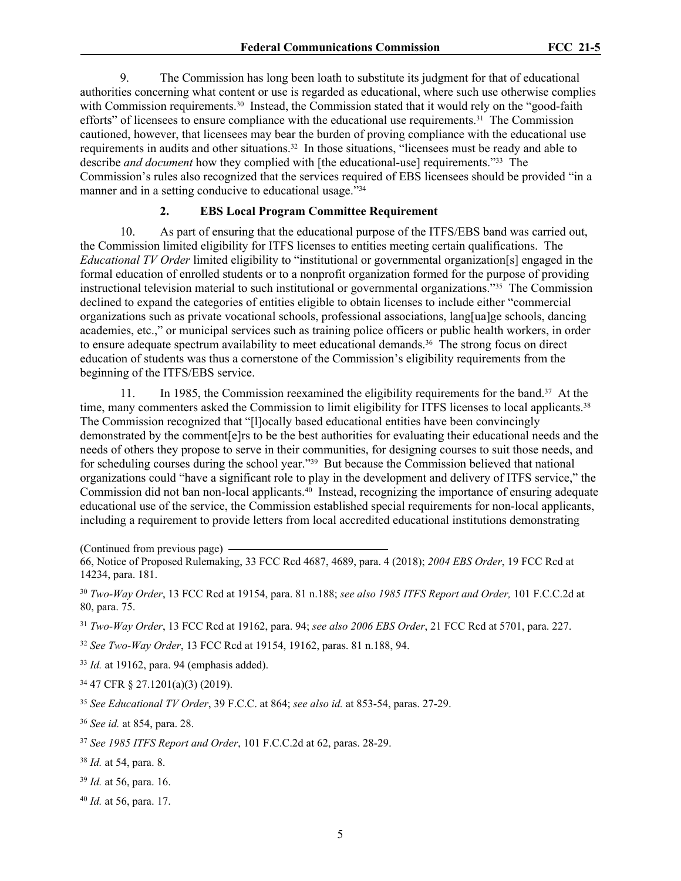9. The Commission has long been loath to substitute its judgment for that of educational authorities concerning what content or use is regarded as educational, where such use otherwise complies with Commission requirements.<sup>30</sup> Instead, the Commission stated that it would rely on the "good-faith efforts" of licensees to ensure compliance with the educational use requirements.<sup>31</sup> The Commission cautioned, however, that licensees may bear the burden of proving compliance with the educational use requirements in audits and other situations.<sup>32</sup> In those situations, "licensees must be ready and able to describe *and document* how they complied with [the educational-use] requirements."33 The Commission's rules also recognized that the services required of EBS licensees should be provided "in a manner and in a setting conducive to educational usage.<sup>734</sup>

## **2. EBS Local Program Committee Requirement**

10. As part of ensuring that the educational purpose of the ITFS/EBS band was carried out, the Commission limited eligibility for ITFS licenses to entities meeting certain qualifications. The *Educational TV Order* limited eligibility to "institutional or governmental organization[s] engaged in the formal education of enrolled students or to a nonprofit organization formed for the purpose of providing instructional television material to such institutional or governmental organizations."35 The Commission declined to expand the categories of entities eligible to obtain licenses to include either "commercial organizations such as private vocational schools, professional associations, lang[ua]ge schools, dancing academies, etc.," or municipal services such as training police officers or public health workers, in order to ensure adequate spectrum availability to meet educational demands.36 The strong focus on direct education of students was thus a cornerstone of the Commission's eligibility requirements from the beginning of the ITFS/EBS service.

11. In 1985, the Commission reexamined the eligibility requirements for the band.<sup>37</sup> At the time, many commenters asked the Commission to limit eligibility for ITFS licenses to local applicants.<sup>38</sup> The Commission recognized that "[l]ocally based educational entities have been convincingly demonstrated by the comment[e]rs to be the best authorities for evaluating their educational needs and the needs of others they propose to serve in their communities, for designing courses to suit those needs, and for scheduling courses during the school year."39 But because the Commission believed that national organizations could "have a significant role to play in the development and delivery of ITFS service," the Commission did not ban non-local applicants.40 Instead, recognizing the importance of ensuring adequate educational use of the service, the Commission established special requirements for non-local applicants, including a requirement to provide letters from local accredited educational institutions demonstrating

(Continued from previous page)

<sup>30</sup> *Two-Way Order*, 13 FCC Rcd at 19154, para. 81 n.188; *see also 1985 ITFS Report and Order,* 101 F.C.C.2d at 80, para. 75.

<sup>31</sup> *Two-Way Order*, 13 FCC Rcd at 19162, para. 94; *see also 2006 EBS Order*, 21 FCC Rcd at 5701, para. 227.

<sup>32</sup> *See Two-Way Order*, 13 FCC Rcd at 19154, 19162, paras. 81 n.188, 94.

<sup>33</sup> *Id.* at 19162, para. 94 (emphasis added).

<sup>34</sup> 47 CFR § 27.1201(a)(3) (2019).

<sup>35</sup> *See Educational TV Order*, 39 F.C.C. at 864; *see also id.* at 853-54, paras. 27-29.

<sup>36</sup> *See id.* at 854, para. 28.

<sup>37</sup> *See 1985 ITFS Report and Order*, 101 F.C.C.2d at 62, paras. 28-29.

<sup>38</sup> *Id.* at 54, para. 8.

<sup>39</sup> *Id.* at 56, para. 16.

<sup>40</sup> *Id.* at 56, para. 17.

<sup>66,</sup> Notice of Proposed Rulemaking, 33 FCC Rcd 4687, 4689, para. 4 (2018); *2004 EBS Order*, 19 FCC Rcd at 14234, para. 181.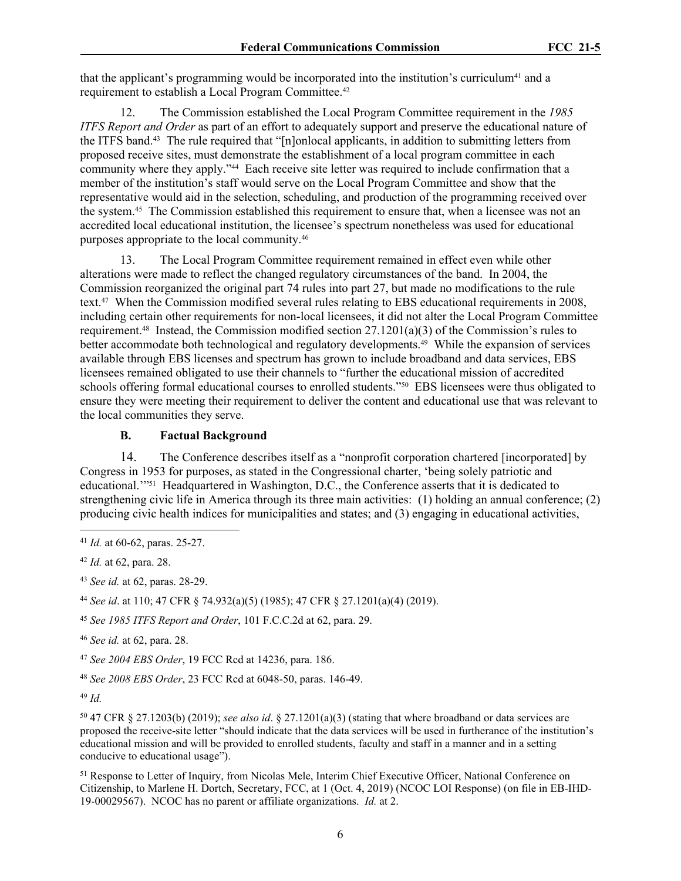that the applicant's programming would be incorporated into the institution's curriculum41 and a requirement to establish a Local Program Committee.<sup>42</sup>

12. The Commission established the Local Program Committee requirement in the *1985 ITFS Report and Order* as part of an effort to adequately support and preserve the educational nature of the ITFS band.43 The rule required that "[n]onlocal applicants, in addition to submitting letters from proposed receive sites, must demonstrate the establishment of a local program committee in each community where they apply."44 Each receive site letter was required to include confirmation that a member of the institution's staff would serve on the Local Program Committee and show that the representative would aid in the selection, scheduling, and production of the programming received over the system.45 The Commission established this requirement to ensure that, when a licensee was not an accredited local educational institution, the licensee's spectrum nonetheless was used for educational purposes appropriate to the local community.<sup>46</sup>

13. The Local Program Committee requirement remained in effect even while other alterations were made to reflect the changed regulatory circumstances of the band. In 2004, the Commission reorganized the original part 74 rules into part 27, but made no modifications to the rule text.47 When the Commission modified several rules relating to EBS educational requirements in 2008, including certain other requirements for non-local licensees, it did not alter the Local Program Committee requirement.48 Instead, the Commission modified section 27.1201(a)(3) of the Commission's rules to better accommodate both technological and regulatory developments.49 While the expansion of services available through EBS licenses and spectrum has grown to include broadband and data services, EBS licensees remained obligated to use their channels to "further the educational mission of accredited schools offering formal educational courses to enrolled students."<sup>50</sup> EBS licensees were thus obligated to ensure they were meeting their requirement to deliver the content and educational use that was relevant to the local communities they serve.

## **B. Factual Background**

14. The Conference describes itself as a "nonprofit corporation chartered [incorporated] by Congress in 1953 for purposes, as stated in the Congressional charter, 'being solely patriotic and educational.'"51 Headquartered in Washington, D.C., the Conference asserts that it is dedicated to strengthening civic life in America through its three main activities: (1) holding an annual conference; (2) producing civic health indices for municipalities and states; and (3) engaging in educational activities,

<sup>50</sup> 47 CFR § 27.1203(b) (2019); *see also id*. § 27.1201(a)(3) (stating that where broadband or data services are proposed the receive-site letter "should indicate that the data services will be used in furtherance of the institution's educational mission and will be provided to enrolled students, faculty and staff in a manner and in a setting conducive to educational usage").

<sup>51</sup> Response to Letter of Inquiry, from Nicolas Mele, Interim Chief Executive Officer, National Conference on Citizenship, to Marlene H. Dortch, Secretary, FCC, at 1 (Oct. 4, 2019) (NCOC LOI Response) (on file in EB-IHD-19-00029567). NCOC has no parent or affiliate organizations. *Id.* at 2.

<sup>41</sup> *Id.* at 60-62, paras. 25-27.

<sup>42</sup> *Id.* at 62, para. 28.

<sup>43</sup> *See id.* at 62, paras. 28-29.

<sup>44</sup> *See id*. at 110; 47 CFR § 74.932(a)(5) (1985); 47 CFR § 27.1201(a)(4) (2019).

<sup>45</sup> *See 1985 ITFS Report and Order*, 101 F.C.C.2d at 62, para. 29.

<sup>46</sup> *See id.* at 62, para. 28.

<sup>47</sup> *See 2004 EBS Order*, 19 FCC Rcd at 14236, para. 186.

<sup>48</sup> *See 2008 EBS Order*, 23 FCC Rcd at 6048-50, paras. 146-49.

<sup>49</sup> *Id.*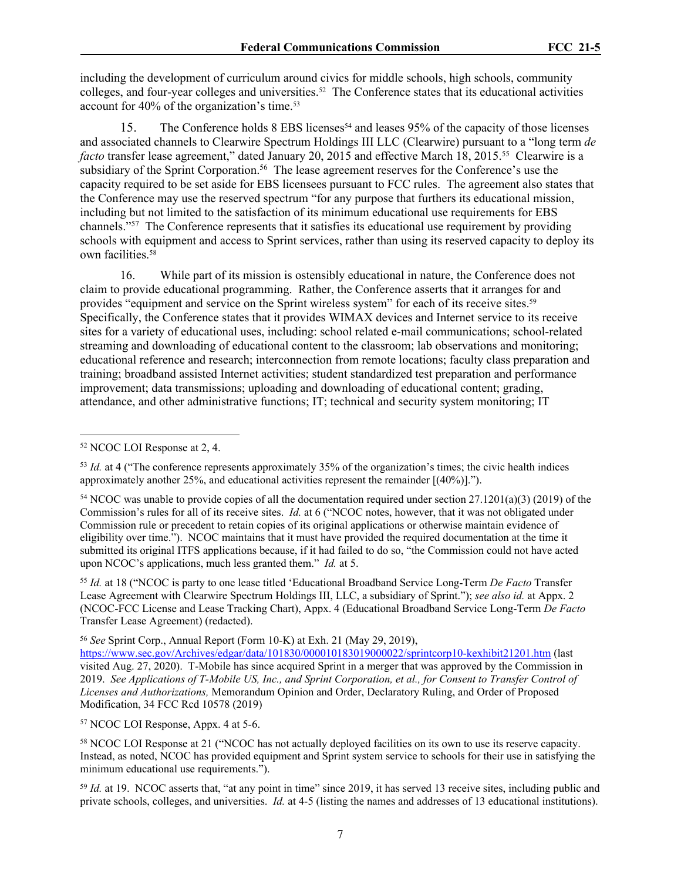including the development of curriculum around civics for middle schools, high schools, community colleges, and four-year colleges and universities.52 The Conference states that its educational activities account for 40% of the organization's time.<sup>53</sup>

15. The Conference holds 8 EBS licenses<sup>54</sup> and leases 95% of the capacity of those licenses and associated channels to Clearwire Spectrum Holdings III LLC (Clearwire) pursuant to a "long term *de facto* transfer lease agreement," dated January 20, 2015 and effective March 18, 2015.<sup>55</sup> Clearwire is a subsidiary of the Sprint Corporation.<sup>56</sup> The lease agreement reserves for the Conference's use the capacity required to be set aside for EBS licensees pursuant to FCC rules. The agreement also states that the Conference may use the reserved spectrum "for any purpose that furthers its educational mission, including but not limited to the satisfaction of its minimum educational use requirements for EBS channels."<sup>57</sup> The Conference represents that it satisfies its educational use requirement by providing schools with equipment and access to Sprint services, rather than using its reserved capacity to deploy its own facilities.<sup>58</sup>

16. While part of its mission is ostensibly educational in nature, the Conference does not claim to provide educational programming. Rather, the Conference asserts that it arranges for and provides "equipment and service on the Sprint wireless system" for each of its receive sites.<sup>59</sup> Specifically, the Conference states that it provides WIMAX devices and Internet service to its receive sites for a variety of educational uses, including: school related e-mail communications; school-related streaming and downloading of educational content to the classroom; lab observations and monitoring; educational reference and research; interconnection from remote locations; faculty class preparation and training; broadband assisted Internet activities; student standardized test preparation and performance improvement; data transmissions; uploading and downloading of educational content; grading, attendance, and other administrative functions; IT; technical and security system monitoring; IT

<sup>55</sup> *Id.* at 18 ("NCOC is party to one lease titled 'Educational Broadband Service Long-Term *De Facto* Transfer Lease Agreement with Clearwire Spectrum Holdings III, LLC, a subsidiary of Sprint."); *see also id.* at Appx. 2 (NCOC-FCC License and Lease Tracking Chart), Appx. 4 (Educational Broadband Service Long-Term *De Facto* Transfer Lease Agreement) (redacted).

<sup>56</sup> *See* Sprint Corp., Annual Report (Form 10-K) at Exh. 21 (May 29, 2019),

<https://www.sec.gov/Archives/edgar/data/101830/000010183019000022/sprintcorp10-kexhibit21201.htm>(last visited Aug. 27, 2020). T-Mobile has since acquired Sprint in a merger that was approved by the Commission in 2019. *See Applications of T-Mobile US, Inc., and Sprint Corporation, et al., for Consent to Transfer Control of Licenses and Authorizations,* Memorandum Opinion and Order, Declaratory Ruling, and Order of Proposed Modification, 34 FCC Rcd 10578 (2019)

<sup>57</sup> NCOC LOI Response, Appx. 4 at 5-6.

<sup>58</sup> NCOC LOI Response at 21 ("NCOC has not actually deployed facilities on its own to use its reserve capacity. Instead, as noted, NCOC has provided equipment and Sprint system service to schools for their use in satisfying the minimum educational use requirements.").

<sup>59</sup> *Id.* at 19. NCOC asserts that, "at any point in time" since 2019, it has served 13 receive sites, including public and private schools, colleges, and universities. *Id.* at 4-5 (listing the names and addresses of 13 educational institutions).

<sup>52</sup> NCOC LOI Response at 2, 4.

<sup>&</sup>lt;sup>53</sup> *Id.* at 4 ("The conference represents approximately 35% of the organization's times; the civic health indices approximately another 25%, and educational activities represent the remainder [(40%)].").

<sup>&</sup>lt;sup>54</sup> NCOC was unable to provide copies of all the documentation required under section  $27.1201(a)(3)$  (2019) of the Commission's rules for all of its receive sites. *Id.* at 6 ("NCOC notes, however, that it was not obligated under Commission rule or precedent to retain copies of its original applications or otherwise maintain evidence of eligibility over time."). NCOC maintains that it must have provided the required documentation at the time it submitted its original ITFS applications because, if it had failed to do so, "the Commission could not have acted upon NCOC's applications, much less granted them." *Id.* at 5.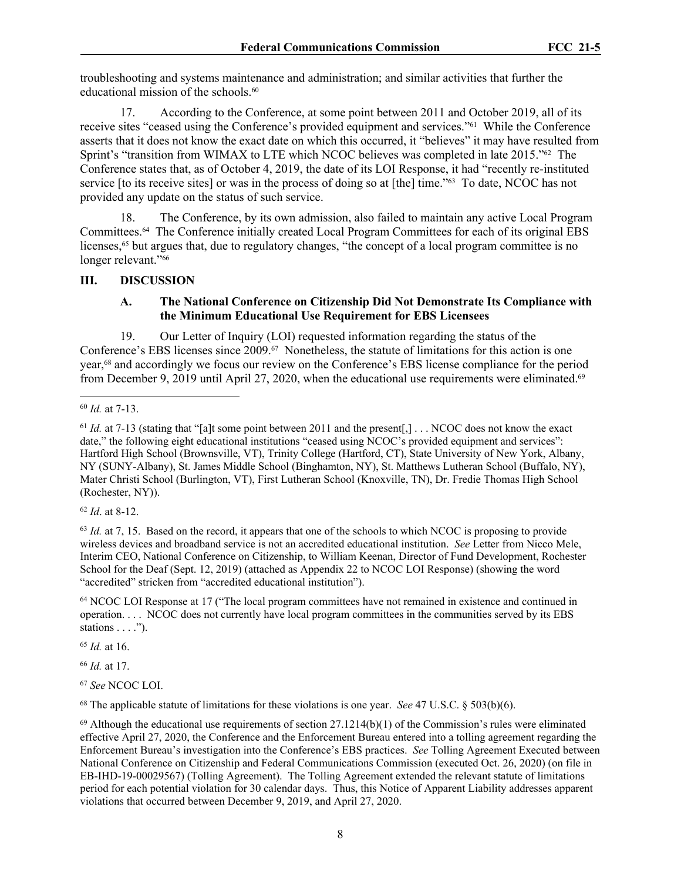troubleshooting and systems maintenance and administration; and similar activities that further the educational mission of the schools.<sup>60</sup>

17. According to the Conference, at some point between 2011 and October 2019, all of its receive sites "ceased using the Conference's provided equipment and services."61 While the Conference asserts that it does not know the exact date on which this occurred, it "believes" it may have resulted from Sprint's "transition from WIMAX to LTE which NCOC believes was completed in late 2015."62 The Conference states that, as of October 4, 2019, the date of its LOI Response, it had "recently re-instituted service [to its receive sites] or was in the process of doing so at [the] time."<sup>63</sup> To date, NCOC has not provided any update on the status of such service.

18. The Conference, by its own admission, also failed to maintain any active Local Program Committees.64 The Conference initially created Local Program Committees for each of its original EBS licenses,<sup>65</sup> but argues that, due to regulatory changes, "the concept of a local program committee is no longer relevant."<sup>66</sup>

#### **III. DISCUSSION**

#### **A. The National Conference on Citizenship Did Not Demonstrate Its Compliance with the Minimum Educational Use Requirement for EBS Licensees**

19. Our Letter of Inquiry (LOI) requested information regarding the status of the Conference's EBS licenses since 2009.67 Nonetheless, the statute of limitations for this action is one year,68 and accordingly we focus our review on the Conference's EBS license compliance for the period from December 9, 2019 until April 27, 2020, when the educational use requirements were eliminated.<sup>69</sup>

<sup>62</sup> *Id*. at 8-12.

<sup>63</sup> *Id.* at 7, 15. Based on the record, it appears that one of the schools to which NCOC is proposing to provide wireless devices and broadband service is not an accredited educational institution. *See* Letter from Nicco Mele, Interim CEO, National Conference on Citizenship, to William Keenan, Director of Fund Development, Rochester School for the Deaf (Sept. 12, 2019) (attached as Appendix 22 to NCOC LOI Response) (showing the word "accredited" stricken from "accredited educational institution").

<sup>64</sup> NCOC LOI Response at 17 ("The local program committees have not remained in existence and continued in operation. . . . NCOC does not currently have local program committees in the communities served by its EBS stations  $\dots$ .").

<sup>65</sup> *Id.* at 16.

<sup>66</sup> *Id.* at 17.

<sup>67</sup> *See* NCOC LOI.

<sup>68</sup> The applicable statute of limitations for these violations is one year. *See* 47 U.S.C. § 503(b)(6).

<sup>60</sup> *Id.* at 7-13.

<sup>&</sup>lt;sup>61</sup> *Id.* at 7-13 (stating that "[a]t some point between 2011 and the present[,] . . . NCOC does not know the exact date," the following eight educational institutions "ceased using NCOC's provided equipment and services": Hartford High School (Brownsville, VT), Trinity College (Hartford, CT), State University of New York, Albany, NY (SUNY-Albany), St. James Middle School (Binghamton, NY), St. Matthews Lutheran School (Buffalo, NY), Mater Christi School (Burlington, VT), First Lutheran School (Knoxville, TN), Dr. Fredie Thomas High School (Rochester, NY)).

 $69$  Although the educational use requirements of section 27.1214(b)(1) of the Commission's rules were eliminated effective April 27, 2020, the Conference and the Enforcement Bureau entered into a tolling agreement regarding the Enforcement Bureau's investigation into the Conference's EBS practices. *See* Tolling Agreement Executed between National Conference on Citizenship and Federal Communications Commission (executed Oct. 26, 2020) (on file in EB-IHD-19-00029567) (Tolling Agreement). The Tolling Agreement extended the relevant statute of limitations period for each potential violation for 30 calendar days. Thus, this Notice of Apparent Liability addresses apparent violations that occurred between December 9, 2019, and April 27, 2020.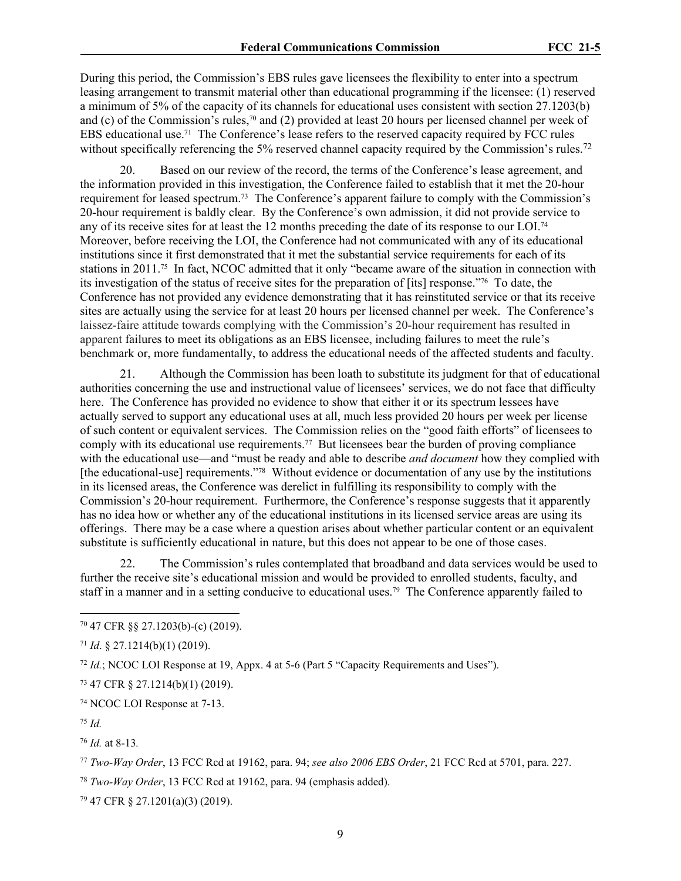During this period, the Commission's EBS rules gave licensees the flexibility to enter into a spectrum leasing arrangement to transmit material other than educational programming if the licensee: (1) reserved a minimum of 5% of the capacity of its channels for educational uses consistent with section 27.1203(b) and (c) of the Commission's rules,70 and (2) provided at least 20 hours per licensed channel per week of EBS educational use.71 The Conference's lease refers to the reserved capacity required by FCC rules without specifically referencing the 5% reserved channel capacity required by the Commission's rules.<sup>72</sup>

20. Based on our review of the record, the terms of the Conference's lease agreement, and the information provided in this investigation, the Conference failed to establish that it met the 20-hour requirement for leased spectrum.73 The Conference's apparent failure to comply with the Commission's 20-hour requirement is baldly clear. By the Conference's own admission, it did not provide service to any of its receive sites for at least the 12 months preceding the date of its response to our LOI.<sup>74</sup> Moreover, before receiving the LOI, the Conference had not communicated with any of its educational institutions since it first demonstrated that it met the substantial service requirements for each of its stations in 2011.75 In fact, NCOC admitted that it only "became aware of the situation in connection with its investigation of the status of receive sites for the preparation of [its] response."76 To date, the Conference has not provided any evidence demonstrating that it has reinstituted service or that its receive sites are actually using the service for at least 20 hours per licensed channel per week. The Conference's laissez-faire attitude towards complying with the Commission's 20-hour requirement has resulted in apparent failures to meet its obligations as an EBS licensee, including failures to meet the rule's benchmark or, more fundamentally, to address the educational needs of the affected students and faculty.

21. Although the Commission has been loath to substitute its judgment for that of educational authorities concerning the use and instructional value of licensees' services, we do not face that difficulty here. The Conference has provided no evidence to show that either it or its spectrum lessees have actually served to support any educational uses at all, much less provided 20 hours per week per license of such content or equivalent services. The Commission relies on the "good faith efforts" of licensees to comply with its educational use requirements.<sup>77</sup> But licensees bear the burden of proving compliance with the educational use—and "must be ready and able to describe *and document* how they complied with [the educational-use] requirements."78 Without evidence or documentation of any use by the institutions in its licensed areas, the Conference was derelict in fulfilling its responsibility to comply with the Commission's 20-hour requirement. Furthermore, the Conference's response suggests that it apparently has no idea how or whether any of the educational institutions in its licensed service areas are using its offerings. There may be a case where a question arises about whether particular content or an equivalent substitute is sufficiently educational in nature, but this does not appear to be one of those cases.

22. The Commission's rules contemplated that broadband and data services would be used to further the receive site's educational mission and would be provided to enrolled students, faculty, and staff in a manner and in a setting conducive to educational uses.79 The Conference apparently failed to

<sup>72</sup> *Id.*; NCOC LOI Response at 19, Appx. 4 at 5-6 (Part 5 "Capacity Requirements and Uses").

<sup>73</sup> 47 CFR § 27.1214(b)(1) (2019).

<sup>74</sup> NCOC LOI Response at 7-13.

<sup>75</sup> *Id.*

<sup>76</sup> *Id.* at 8-13*.*

<sup>78</sup> *Two-Way Order*, 13 FCC Rcd at 19162, para. 94 (emphasis added).

79 47 CFR § 27.1201(a)(3) (2019).

<sup>70</sup> 47 CFR §§ 27.1203(b)-(c) (2019).

<sup>71</sup> *Id*. § 27.1214(b)(1) (2019).

<sup>77</sup> *Two-Way Order*, 13 FCC Rcd at 19162, para. 94; *see also 2006 EBS Order*, 21 FCC Rcd at 5701, para. 227.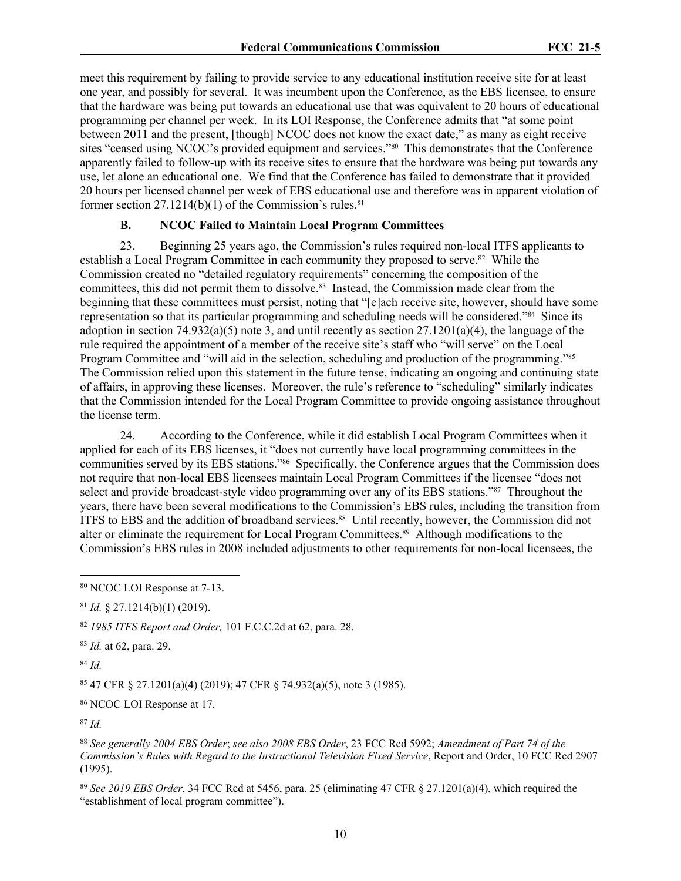meet this requirement by failing to provide service to any educational institution receive site for at least one year, and possibly for several. It was incumbent upon the Conference, as the EBS licensee, to ensure that the hardware was being put towards an educational use that was equivalent to 20 hours of educational programming per channel per week. In its LOI Response, the Conference admits that "at some point between 2011 and the present, [though] NCOC does not know the exact date," as many as eight receive sites "ceased using NCOC's provided equipment and services."<sup>80</sup> This demonstrates that the Conference apparently failed to follow-up with its receive sites to ensure that the hardware was being put towards any use, let alone an educational one. We find that the Conference has failed to demonstrate that it provided 20 hours per licensed channel per week of EBS educational use and therefore was in apparent violation of former section  $27.1214(b)(1)$  of the Commission's rules.<sup>81</sup>

#### **B. NCOC Failed to Maintain Local Program Committees**

23. Beginning 25 years ago, the Commission's rules required non-local ITFS applicants to establish a Local Program Committee in each community they proposed to serve.82 While the Commission created no "detailed regulatory requirements" concerning the composition of the committees, this did not permit them to dissolve.<sup>83</sup> Instead, the Commission made clear from the beginning that these committees must persist, noting that "[e]ach receive site, however, should have some representation so that its particular programming and scheduling needs will be considered."84 Since its adoption in section 74.932(a)(5) note 3, and until recently as section  $27.1201(a)(4)$ , the language of the rule required the appointment of a member of the receive site's staff who "will serve" on the Local Program Committee and "will aid in the selection, scheduling and production of the programming."<sup>85</sup> The Commission relied upon this statement in the future tense, indicating an ongoing and continuing state of affairs, in approving these licenses. Moreover, the rule's reference to "scheduling" similarly indicates that the Commission intended for the Local Program Committee to provide ongoing assistance throughout the license term.

24. According to the Conference, while it did establish Local Program Committees when it applied for each of its EBS licenses, it "does not currently have local programming committees in the communities served by its EBS stations."86 Specifically, the Conference argues that the Commission does not require that non-local EBS licensees maintain Local Program Committees if the licensee "does not select and provide broadcast-style video programming over any of its EBS stations."87 Throughout the years, there have been several modifications to the Commission's EBS rules, including the transition from ITFS to EBS and the addition of broadband services.<sup>88</sup> Until recently, however, the Commission did not alter or eliminate the requirement for Local Program Committees.89 Although modifications to the Commission's EBS rules in 2008 included adjustments to other requirements for non-local licensees, the

<sup>82</sup> *1985 ITFS Report and Order,* 101 F.C.C.2d at 62, para. 28.

<sup>83</sup> *Id.* at 62, para. 29.

<sup>84</sup> *Id.*

<sup>85</sup> 47 CFR § 27.1201(a)(4) (2019); 47 CFR § 74.932(a)(5), note 3 (1985).

<sup>86</sup> NCOC LOI Response at 17.

<sup>87</sup> *Id.*

<sup>89</sup> *See 2019 EBS Order*, 34 FCC Rcd at 5456, para. 25 (eliminating 47 CFR § 27.1201(a)(4), which required the "establishment of local program committee").

<sup>80</sup> NCOC LOI Response at 7-13.

<sup>81</sup> *Id.* § 27.1214(b)(1) (2019).

<sup>88</sup> *See generally 2004 EBS Order*; *see also 2008 EBS Order*, 23 FCC Rcd 5992; *Amendment of Part 74 of the Commission's Rules with Regard to the Instructional Television Fixed Service*, Report and Order, 10 FCC Rcd 2907 (1995).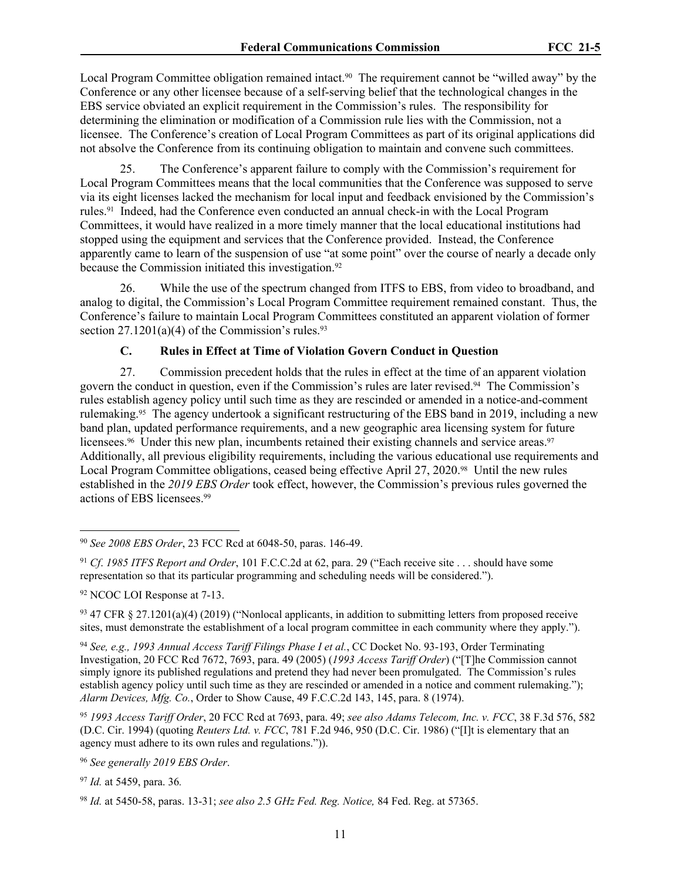Local Program Committee obligation remained intact.<sup>90</sup> The requirement cannot be "willed away" by the Conference or any other licensee because of a self-serving belief that the technological changes in the EBS service obviated an explicit requirement in the Commission's rules. The responsibility for determining the elimination or modification of a Commission rule lies with the Commission, not a licensee. The Conference's creation of Local Program Committees as part of its original applications did not absolve the Conference from its continuing obligation to maintain and convene such committees.

25. The Conference's apparent failure to comply with the Commission's requirement for Local Program Committees means that the local communities that the Conference was supposed to serve via its eight licenses lacked the mechanism for local input and feedback envisioned by the Commission's rules.91 Indeed, had the Conference even conducted an annual check-in with the Local Program Committees, it would have realized in a more timely manner that the local educational institutions had stopped using the equipment and services that the Conference provided. Instead, the Conference apparently came to learn of the suspension of use "at some point" over the course of nearly a decade only because the Commission initiated this investigation.<sup>92</sup>

26. While the use of the spectrum changed from ITFS to EBS, from video to broadband, and analog to digital, the Commission's Local Program Committee requirement remained constant. Thus, the Conference's failure to maintain Local Program Committees constituted an apparent violation of former section  $27.1201(a)(4)$  of the Commission's rules.<sup>93</sup>

## **C. Rules in Effect at Time of Violation Govern Conduct in Question**

27. Commission precedent holds that the rules in effect at the time of an apparent violation govern the conduct in question, even if the Commission's rules are later revised.94 The Commission's rules establish agency policy until such time as they are rescinded or amended in a notice-and-comment rulemaking.95 The agency undertook a significant restructuring of the EBS band in 2019, including a new band plan, updated performance requirements, and a new geographic area licensing system for future licensees.<sup>96</sup> Under this new plan, incumbents retained their existing channels and service areas.<sup>97</sup> Additionally, all previous eligibility requirements, including the various educational use requirements and Local Program Committee obligations, ceased being effective April 27, 2020.98 Until the new rules established in the *2019 EBS Order* took effect, however, the Commission's previous rules governed the actions of EBS licensees.<sup>99</sup>

<sup>94</sup> *See, e.g., 1993 Annual Access Tariff Filings Phase I et al.*, CC Docket No. 93-193, Order Terminating Investigation, 20 FCC Rcd 7672, 7693, para. 49 (2005) (*1993 Access Tariff Order*) ("[T]he Commission cannot simply ignore its published regulations and pretend they had never been promulgated. The Commission's rules establish agency policy until such time as they are rescinded or amended in a notice and comment rulemaking."); *Alarm Devices, Mfg. Co.*, Order to Show Cause, 49 F.C.C.2d 143, 145, para. 8 (1974).

<sup>95</sup> *1993 Access Tariff Order*, 20 FCC Rcd at 7693, para. 49; *see also Adams Telecom, Inc. v. FCC*, 38 F.3d 576, 582 (D.C. Cir. 1994) (quoting *Reuters Ltd. v. FCC*, 781 F.2d 946, 950 (D.C. Cir. 1986) ("[I]t is elementary that an agency must adhere to its own rules and regulations.")).

<sup>96</sup> *See generally 2019 EBS Order*.

<sup>90</sup> *See 2008 EBS Order*, 23 FCC Rcd at 6048-50, paras. 146-49.

<sup>91</sup> *Cf*. *1985 ITFS Report and Order*, 101 F.C.C.2d at 62, para. 29 ("Each receive site . . . should have some representation so that its particular programming and scheduling needs will be considered.").

<sup>92</sup> NCOC LOI Response at 7-13.

<sup>93</sup> 47 CFR § 27.1201(a)(4) (2019) ("Nonlocal applicants, in addition to submitting letters from proposed receive sites, must demonstrate the establishment of a local program committee in each community where they apply.").

<sup>97</sup> *Id.* at 5459, para. 36*.*

<sup>98</sup> *Id.* at 5450-58, paras. 13-31; *see also 2.5 GHz Fed. Reg. Notice,* 84 Fed. Reg. at 57365.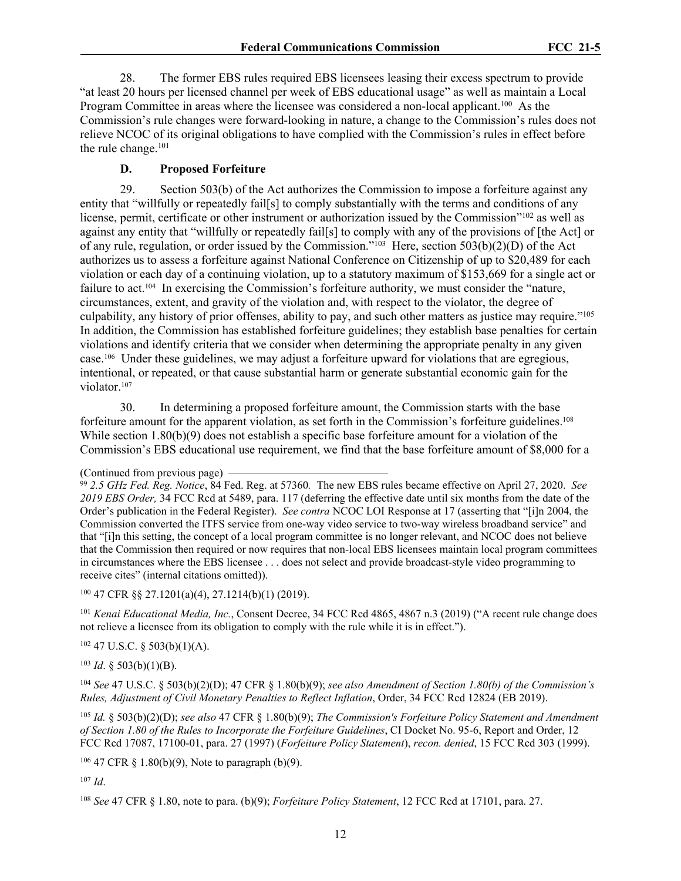28. The former EBS rules required EBS licensees leasing their excess spectrum to provide "at least 20 hours per licensed channel per week of EBS educational usage" as well as maintain a Local Program Committee in areas where the licensee was considered a non-local applicant.<sup>100</sup> As the Commission's rule changes were forward-looking in nature, a change to the Commission's rules does not relieve NCOC of its original obligations to have complied with the Commission's rules in effect before the rule change.<sup>101</sup>

# **D. Proposed Forfeiture**

29. Section 503(b) of the Act authorizes the Commission to impose a forfeiture against any entity that "willfully or repeatedly fail[s] to comply substantially with the terms and conditions of any license, permit, certificate or other instrument or authorization issued by the Commission"<sup>102</sup> as well as against any entity that "willfully or repeatedly fail[s] to comply with any of the provisions of [the Act] or of any rule, regulation, or order issued by the Commission." $103$  Here, section  $503(b)(2)(D)$  of the Act authorizes us to assess a forfeiture against National Conference on Citizenship of up to \$20,489 for each violation or each day of a continuing violation, up to a statutory maximum of \$153,669 for a single act or failure to act.104 In exercising the Commission's forfeiture authority, we must consider the "nature, circumstances, extent, and gravity of the violation and, with respect to the violator, the degree of culpability, any history of prior offenses, ability to pay, and such other matters as justice may require."<sup>105</sup> In addition, the Commission has established forfeiture guidelines; they establish base penalties for certain violations and identify criteria that we consider when determining the appropriate penalty in any given case.106 Under these guidelines, we may adjust a forfeiture upward for violations that are egregious, intentional, or repeated, or that cause substantial harm or generate substantial economic gain for the violator.<sup>107</sup>

30. In determining a proposed forfeiture amount, the Commission starts with the base forfeiture amount for the apparent violation, as set forth in the Commission's forfeiture guidelines.<sup>108</sup> While section 1.80(b)(9) does not establish a specific base for feiture amount for a violation of the Commission's EBS educational use requirement, we find that the base forfeiture amount of \$8,000 for a

<sup>100</sup> 47 CFR §§ 27.1201(a)(4), 27.1214(b)(1) (2019).

<sup>101</sup> *Kenai Educational Media, Inc.*, Consent Decree, 34 FCC Rcd 4865, 4867 n.3 (2019) ("A recent rule change does not relieve a licensee from its obligation to comply with the rule while it is in effect.").

 $102$  47 U.S.C. § 503(b)(1)(A).

 $103$  *Id.* § 503(b)(1)(B).

<sup>104</sup> *See* 47 U.S.C. § 503(b)(2)(D); 47 CFR § 1.80(b)(9); *see also Amendment of Section 1.80(b) of the Commission's Rules, Adjustment of Civil Monetary Penalties to Reflect Inflation*, Order, 34 FCC Rcd 12824 (EB 2019).

<sup>105</sup> *Id.* § 503(b)(2)(D); *see also* 47 CFR § 1.80(b)(9); *The Commission's Forfeiture Policy Statement and Amendment of Section 1.80 of the Rules to Incorporate the Forfeiture Guidelines*, CI Docket No. 95-6, Report and Order, 12 FCC Rcd 17087, 17100-01, para. 27 (1997) (*Forfeiture Policy Statement*), *recon. denied*, 15 FCC Rcd 303 (1999).

<sup>106</sup> 47 CFR § 1.80(b)(9), Note to paragraph (b)(9).

<sup>107</sup> *Id*.

<sup>108</sup> *See* 47 CFR § 1.80, note to para. (b)(9); *Forfeiture Policy Statement*, 12 FCC Rcd at 17101, para. 27.

<sup>(</sup>Continued from previous page)

<sup>99</sup> *2.5 GHz Fed. Reg. Notice*, 84 Fed. Reg. at 57360*.* The new EBS rules became effective on April 27, 2020. *See 2019 EBS Order,* 34 FCC Rcd at 5489, para. 117 (deferring the effective date until six months from the date of the Order's publication in the Federal Register). *See contra* NCOC LOI Response at 17 (asserting that "[i]n 2004, the Commission converted the ITFS service from one-way video service to two-way wireless broadband service" and that "[i]n this setting, the concept of a local program committee is no longer relevant, and NCOC does not believe that the Commission then required or now requires that non-local EBS licensees maintain local program committees in circumstances where the EBS licensee . . . does not select and provide broadcast-style video programming to receive cites" (internal citations omitted)).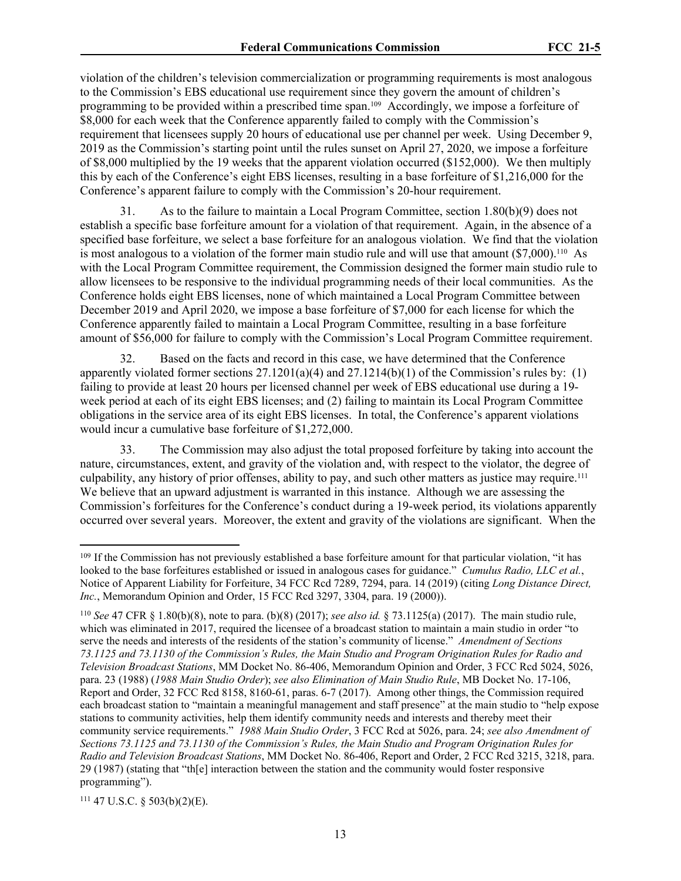violation of the children's television commercialization or programming requirements is most analogous to the Commission's EBS educational use requirement since they govern the amount of children's programming to be provided within a prescribed time span.109 Accordingly, we impose a forfeiture of \$8,000 for each week that the Conference apparently failed to comply with the Commission's requirement that licensees supply 20 hours of educational use per channel per week. Using December 9, 2019 as the Commission's starting point until the rules sunset on April 27, 2020, we impose a forfeiture of \$8,000 multiplied by the 19 weeks that the apparent violation occurred (\$152,000). We then multiply this by each of the Conference's eight EBS licenses, resulting in a base forfeiture of \$1,216,000 for the Conference's apparent failure to comply with the Commission's 20-hour requirement.

31. As to the failure to maintain a Local Program Committee, section 1.80(b)(9) does not establish a specific base forfeiture amount for a violation of that requirement. Again, in the absence of a specified base forfeiture, we select a base forfeiture for an analogous violation. We find that the violation is most analogous to a violation of the former main studio rule and will use that amount  $(\$7,000)$ .<sup>110</sup> As with the Local Program Committee requirement, the Commission designed the former main studio rule to allow licensees to be responsive to the individual programming needs of their local communities. As the Conference holds eight EBS licenses, none of which maintained a Local Program Committee between December 2019 and April 2020, we impose a base forfeiture of \$7,000 for each license for which the Conference apparently failed to maintain a Local Program Committee, resulting in a base forfeiture amount of \$56,000 for failure to comply with the Commission's Local Program Committee requirement.

32. Based on the facts and record in this case, we have determined that the Conference apparently violated former sections  $27.1201(a)(4)$  and  $27.1214(b)(1)$  of the Commission's rules by: (1) failing to provide at least 20 hours per licensed channel per week of EBS educational use during a 19 week period at each of its eight EBS licenses; and (2) failing to maintain its Local Program Committee obligations in the service area of its eight EBS licenses. In total, the Conference's apparent violations would incur a cumulative base forfeiture of \$1,272,000.

33. The Commission may also adjust the total proposed forfeiture by taking into account the nature, circumstances, extent, and gravity of the violation and, with respect to the violator, the degree of culpability, any history of prior offenses, ability to pay, and such other matters as justice may require.<sup>111</sup> We believe that an upward adjustment is warranted in this instance. Although we are assessing the Commission's forfeitures for the Conference's conduct during a 19-week period, its violations apparently occurred over several years. Moreover, the extent and gravity of the violations are significant. When the

 $111$  47 U.S.C. § 503(b)(2)(E).

<sup>&</sup>lt;sup>109</sup> If the Commission has not previously established a base forfeiture amount for that particular violation, "it has looked to the base forfeitures established or issued in analogous cases for guidance." *Cumulus Radio, LLC et al.*, Notice of Apparent Liability for Forfeiture, 34 FCC Rcd 7289, 7294, para. 14 (2019) (citing *Long Distance Direct, Inc.*, Memorandum Opinion and Order, 15 FCC Rcd 3297, 3304, para. 19 (2000)).

<sup>110</sup> *See* 47 CFR § 1.80(b)(8), note to para. (b)(8) (2017); *see also id.* § 73.1125(a) (2017). The main studio rule, which was eliminated in 2017, required the licensee of a broadcast station to maintain a main studio in order "to serve the needs and interests of the residents of the station's community of license." *Amendment of Sections 73.1125 and 73.1130 of the Commission's Rules, the Main Studio and Program Origination Rules for Radio and Television Broadcast Stations*, MM Docket No. 86-406, Memorandum Opinion and Order, 3 FCC Rcd 5024, 5026, para. 23 (1988) (*1988 Main Studio Order*); *see also Elimination of Main Studio Rule*, MB Docket No. 17-106, Report and Order, 32 FCC Rcd 8158, 8160-61, paras. 6-7 (2017). Among other things, the Commission required each broadcast station to "maintain a meaningful management and staff presence" at the main studio to "help expose stations to community activities, help them identify community needs and interests and thereby meet their community service requirements." *1988 Main Studio Order*, 3 FCC Rcd at 5026, para. 24; *see also Amendment of Sections 73.1125 and 73.1130 of the Commission's Rules, the Main Studio and Program Origination Rules for Radio and Television Broadcast Stations*, MM Docket No. 86-406, Report and Order, 2 FCC Rcd 3215, 3218, para. 29 (1987) (stating that "th[e] interaction between the station and the community would foster responsive programming").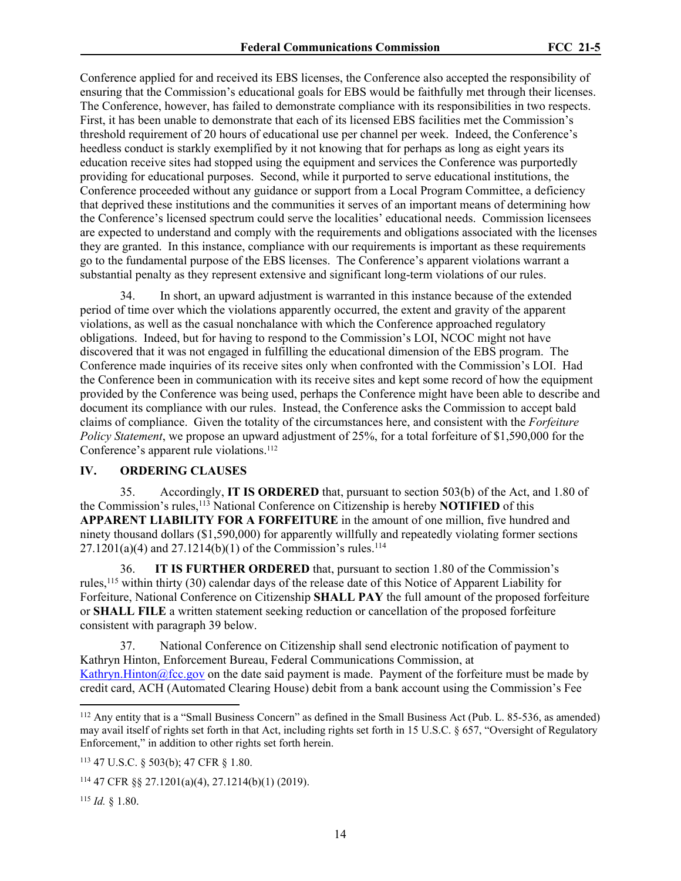Conference applied for and received its EBS licenses, the Conference also accepted the responsibility of ensuring that the Commission's educational goals for EBS would be faithfully met through their licenses. The Conference, however, has failed to demonstrate compliance with its responsibilities in two respects. First, it has been unable to demonstrate that each of its licensed EBS facilities met the Commission's threshold requirement of 20 hours of educational use per channel per week. Indeed, the Conference's heedless conduct is starkly exemplified by it not knowing that for perhaps as long as eight years its education receive sites had stopped using the equipment and services the Conference was purportedly providing for educational purposes. Second, while it purported to serve educational institutions, the Conference proceeded without any guidance or support from a Local Program Committee, a deficiency that deprived these institutions and the communities it serves of an important means of determining how the Conference's licensed spectrum could serve the localities' educational needs. Commission licensees are expected to understand and comply with the requirements and obligations associated with the licenses they are granted. In this instance, compliance with our requirements is important as these requirements go to the fundamental purpose of the EBS licenses. The Conference's apparent violations warrant a substantial penalty as they represent extensive and significant long-term violations of our rules.

34. In short, an upward adjustment is warranted in this instance because of the extended period of time over which the violations apparently occurred, the extent and gravity of the apparent violations, as well as the casual nonchalance with which the Conference approached regulatory obligations. Indeed, but for having to respond to the Commission's LOI, NCOC might not have discovered that it was not engaged in fulfilling the educational dimension of the EBS program. The Conference made inquiries of its receive sites only when confronted with the Commission's LOI. Had the Conference been in communication with its receive sites and kept some record of how the equipment provided by the Conference was being used, perhaps the Conference might have been able to describe and document its compliance with our rules. Instead, the Conference asks the Commission to accept bald claims of compliance. Given the totality of the circumstances here, and consistent with the *Forfeiture Policy Statement*, we propose an upward adjustment of 25%, for a total forfeiture of \$1,590,000 for the Conference's apparent rule violations.<sup>112</sup>

### **IV. ORDERING CLAUSES**

35. Accordingly, **IT IS ORDERED** that, pursuant to section 503(b) of the Act, and 1.80 of the Commission's rules,<sup>113</sup> National Conference on Citizenship is hereby **NOTIFIED** of this **APPARENT LIABILITY FOR A FORFEITURE** in the amount of one million, five hundred and ninety thousand dollars (\$1,590,000) for apparently willfully and repeatedly violating former sections  $27.1201(a)(4)$  and  $27.1214(b)(1)$  of the Commission's rules.<sup>114</sup>

36. **IT IS FURTHER ORDERED** that, pursuant to section 1.80 of the Commission's rules,<sup>115</sup> within thirty (30) calendar days of the release date of this Notice of Apparent Liability for Forfeiture, National Conference on Citizenship **SHALL PAY** the full amount of the proposed forfeiture or **SHALL FILE** a written statement seeking reduction or cancellation of the proposed forfeiture consistent with paragraph 39 below.

37. National Conference on Citizenship shall send electronic notification of payment to Kathryn Hinton, Enforcement Bureau, Federal Communications Commission, at Kathryn. Hinton@fcc.gov on the date said payment is made. Payment of the forfeiture must be made by credit card, ACH (Automated Clearing House) debit from a bank account using the Commission's Fee

<sup>112</sup> Any entity that is a "Small Business Concern" as defined in the Small Business Act (Pub. L. 85-536, as amended) may avail itself of rights set forth in that Act, including rights set forth in 15 U.S.C. § 657, "Oversight of Regulatory Enforcement," in addition to other rights set forth herein.

<sup>113</sup> 47 U.S.C. § 503(b); 47 CFR § 1.80.

<sup>114</sup> 47 CFR §§ 27.1201(a)(4), 27.1214(b)(1) (2019).

<sup>115</sup> *Id.* § 1.80.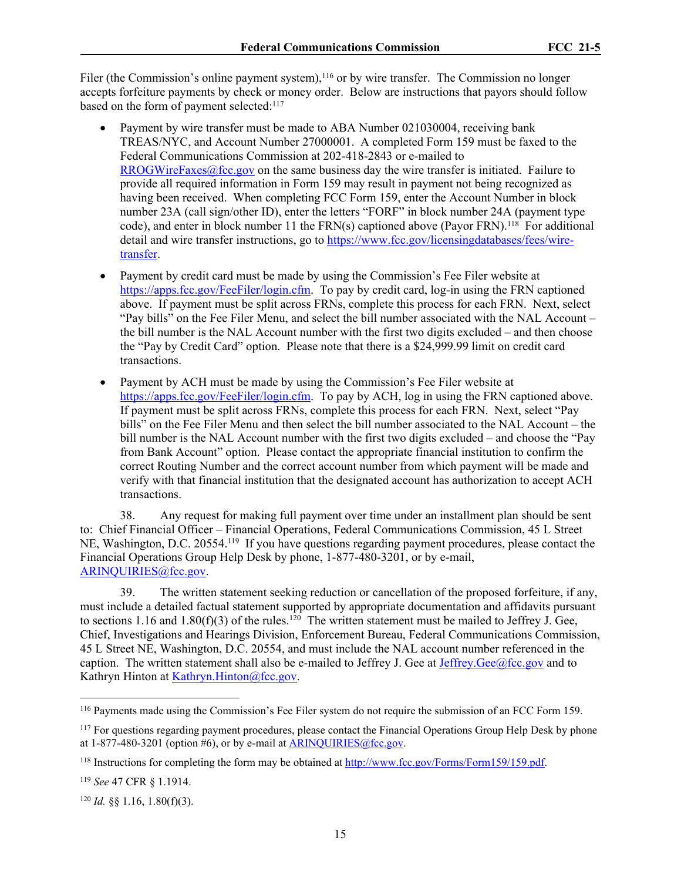Filer (the Commission's online payment system),<sup>116</sup> or by wire transfer. The Commission no longer accepts forfeiture payments by check or money order. Below are instructions that payors should follow based on the form of payment selected:<sup>117</sup>

- Payment by wire transfer must be made to ABA Number 021030004, receiving bank TREAS/NYC, and Account Number 27000001. A completed Form 159 must be faxed to the Federal Communications Commission at 202-418-2843 or e-mailed to [RROGWireFaxes@fcc.gov](mailto:RROGWireFaxes@fcc.gov) on the same business day the wire transfer is initiated. Failure to provide all required information in Form 159 may result in payment not being recognized as having been received. When completing FCC Form 159, enter the Account Number in block number 23A (call sign/other ID), enter the letters "FORF" in block number 24A (payment type code), and enter in block number 11 the FRN(s) captioned above (Payor FRN).<sup>118</sup> For additional detail and wire transfer instructions, go to [https://www.fcc.gov/licensingdatabases/fees/wire](https://www.fcc.gov/licensingdatabases/fees/wire-transfer)[transfer.](https://www.fcc.gov/licensingdatabases/fees/wire-transfer)
- Payment by credit card must be made by using the Commission's Fee Filer website at https://apps.fcc.gov/FeeFiler/login.cfm. To pay by credit card, log-in using the FRN captioned above. If payment must be split across FRNs, complete this process for each FRN. Next, select "Pay bills" on the Fee Filer Menu, and select the bill number associated with the NAL Account – the bill number is the NAL Account number with the first two digits excluded – and then choose the "Pay by Credit Card" option. Please note that there is a \$24,999.99 limit on credit card transactions.
- Payment by ACH must be made by using the Commission's Fee Filer website at https://apps.fcc.gov/FeeFiler/login.cfm. To pay by ACH, log in using the FRN captioned above. If payment must be split across FRNs, complete this process for each FRN. Next, select "Pay bills" on the Fee Filer Menu and then select the bill number associated to the NAL Account – the bill number is the NAL Account number with the first two digits excluded – and choose the "Pay from Bank Account" option. Please contact the appropriate financial institution to confirm the correct Routing Number and the correct account number from which payment will be made and verify with that financial institution that the designated account has authorization to accept ACH transactions.

38. Any request for making full payment over time under an installment plan should be sent to: Chief Financial Officer – Financial Operations, Federal Communications Commission, 45 L Street NE, Washington, D.C. 20554.<sup>119</sup> If you have questions regarding payment procedures, please contact the Financial Operations Group Help Desk by phone, 1-877-480-3201, or by e-mail, [ARINQUIRIES@fcc.gov](mailto:ARINQUIRIES@fcc.gov).

39. The written statement seeking reduction or cancellation of the proposed forfeiture, if any, must include a detailed factual statement supported by appropriate documentation and affidavits pursuant to sections 1.16 and 1.80(f)(3) of the rules.<sup>120</sup> The written statement must be mailed to Jeffrey J. Gee, Chief, Investigations and Hearings Division, Enforcement Bureau, Federal Communications Commission, 45 L Street NE, Washington, D.C. 20554, and must include the NAL account number referenced in the caption. The written statement shall also be e-mailed to Jeffrey J. Gee at Jeffrey. Gee  $@$  fcc.gov and to Kathryn Hinton at [Kathryn.Hinton@fcc.gov.](mailto:Kathryn.Hinton@fcc.gov)

<sup>116</sup> Payments made using the Commission's Fee Filer system do not require the submission of an FCC Form 159.

<sup>&</sup>lt;sup>117</sup> For questions regarding payment procedures, please contact the Financial Operations Group Help Desk by phone at  $1-877-480-3201$  (option #6), or by e-mail at [ARINQUIRIES@fcc.gov.](mailto:ARINQUIRIES@fcc.gov)

<sup>&</sup>lt;sup>118</sup> Instructions for completing the form may be obtained at [http://www.fcc.gov/Forms/Form159/159.pdf.](http://www.fcc.gov/Forms/Form159/159.pdf)

<sup>119</sup> *See* 47 CFR § 1.1914.

<sup>120</sup> *Id.* §§ 1.16, 1.80(f)(3).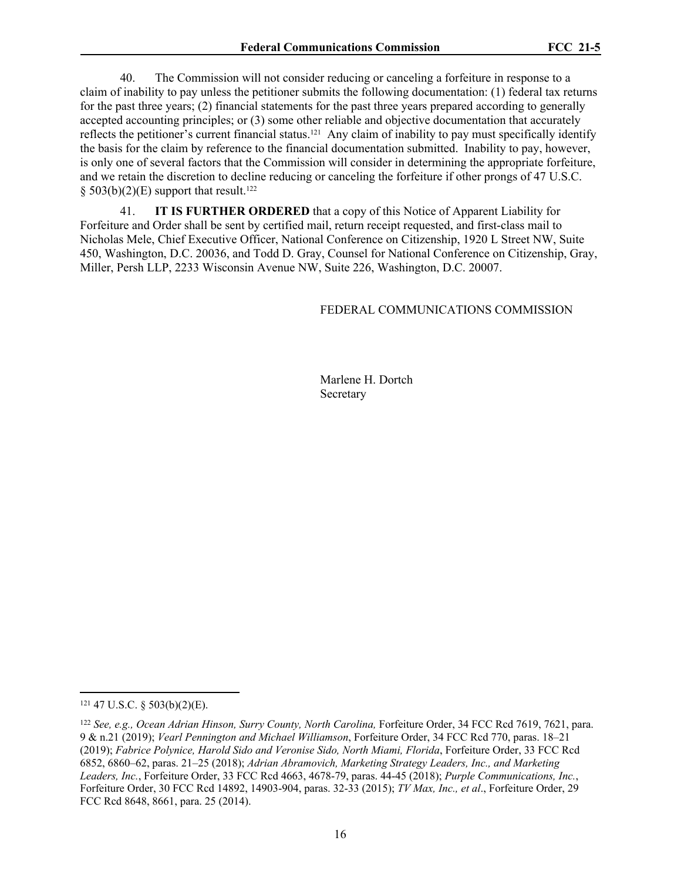40. The Commission will not consider reducing or canceling a forfeiture in response to a claim of inability to pay unless the petitioner submits the following documentation: (1) federal tax returns for the past three years; (2) financial statements for the past three years prepared according to generally accepted accounting principles; or (3) some other reliable and objective documentation that accurately reflects the petitioner's current financial status.121 Any claim of inability to pay must specifically identify the basis for the claim by reference to the financial documentation submitted. Inability to pay, however, is only one of several factors that the Commission will consider in determining the appropriate forfeiture, and we retain the discretion to decline reducing or canceling the forfeiture if other prongs of 47 U.S.C. § 503(b)(2)(E) support that result.<sup>122</sup>

41. **IT IS FURTHER ORDERED** that a copy of this Notice of Apparent Liability for Forfeiture and Order shall be sent by certified mail, return receipt requested, and first-class mail to Nicholas Mele, Chief Executive Officer, National Conference on Citizenship, 1920 L Street NW, Suite 450, Washington, D.C. 20036, and Todd D. Gray, Counsel for National Conference on Citizenship, Gray, Miller, Persh LLP, 2233 Wisconsin Avenue NW, Suite 226, Washington, D.C. 20007.

#### FEDERAL COMMUNICATIONS COMMISSION

Marlene H. Dortch Secretary

 $121$  47 U.S.C. § 503(b)(2)(E).

<sup>&</sup>lt;sup>122</sup> See, e.g., Ocean Adrian Hinson, Surry County, North Carolina, Forfeiture Order, 34 FCC Rcd 7619, 7621, para. 9 & n.21 (2019); *Vearl Pennington and Michael Williamson*, Forfeiture Order, 34 FCC Rcd 770, paras. 18–21 (2019); *Fabrice Polynice, Harold Sido and Veronise Sido, North Miami, Florida*, Forfeiture Order, 33 FCC Rcd 6852, 6860–62, paras. 21–25 (2018); *Adrian Abramovich, Marketing Strategy Leaders, Inc., and Marketing Leaders, Inc.*, Forfeiture Order, 33 FCC Rcd 4663, 4678-79, paras. 44-45 (2018); *Purple Communications, Inc.*, Forfeiture Order, 30 FCC Rcd 14892, 14903-904, paras. 32-33 (2015); *TV Max, Inc., et al*., Forfeiture Order, 29 FCC Rcd 8648, 8661, para. 25 (2014).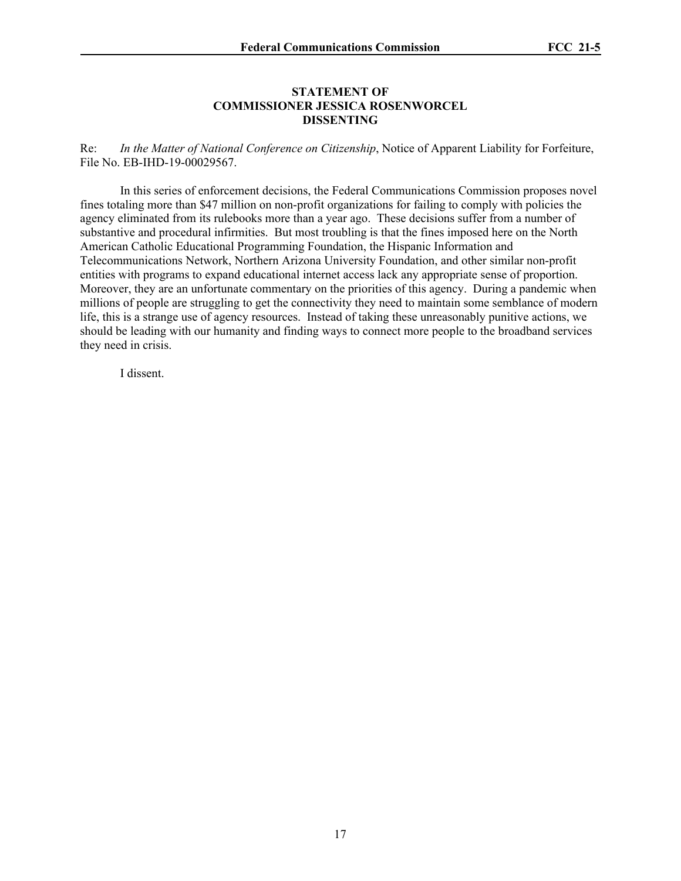#### **STATEMENT OF COMMISSIONER JESSICA ROSENWORCEL DISSENTING**

Re: *In the Matter of National Conference on Citizenship*, Notice of Apparent Liability for Forfeiture, File No. EB-IHD-19-00029567.

In this series of enforcement decisions, the Federal Communications Commission proposes novel fines totaling more than \$47 million on non-profit organizations for failing to comply with policies the agency eliminated from its rulebooks more than a year ago. These decisions suffer from a number of substantive and procedural infirmities. But most troubling is that the fines imposed here on the North American Catholic Educational Programming Foundation, the Hispanic Information and Telecommunications Network, Northern Arizona University Foundation, and other similar non-profit entities with programs to expand educational internet access lack any appropriate sense of proportion. Moreover, they are an unfortunate commentary on the priorities of this agency. During a pandemic when millions of people are struggling to get the connectivity they need to maintain some semblance of modern life, this is a strange use of agency resources. Instead of taking these unreasonably punitive actions, we should be leading with our humanity and finding ways to connect more people to the broadband services they need in crisis.

I dissent.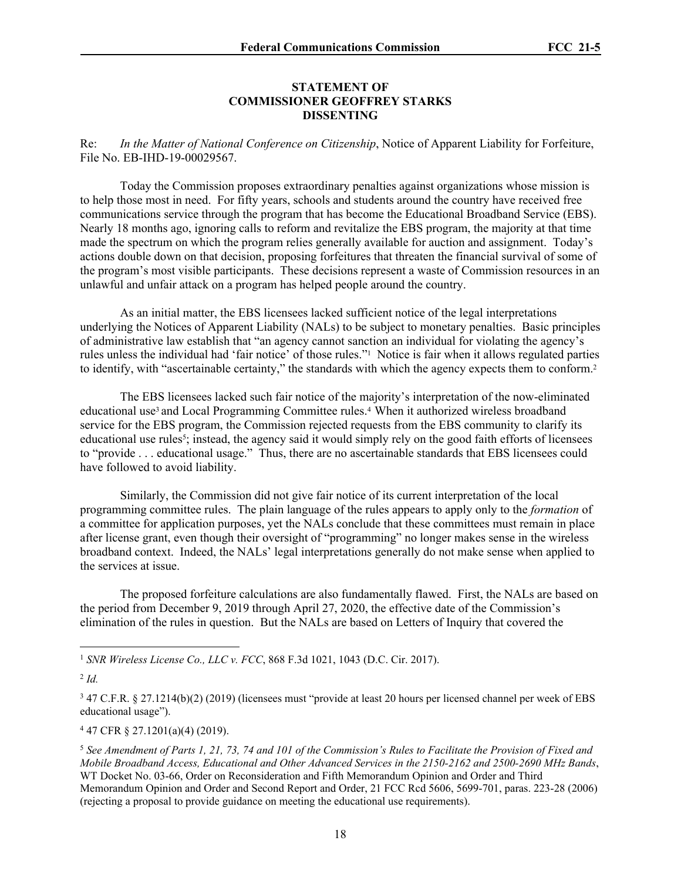#### **STATEMENT OF COMMISSIONER GEOFFREY STARKS DISSENTING**

Re: *In the Matter of National Conference on Citizenship*, Notice of Apparent Liability for Forfeiture, File No. EB-IHD-19-00029567.

Today the Commission proposes extraordinary penalties against organizations whose mission is to help those most in need. For fifty years, schools and students around the country have received free communications service through the program that has become the Educational Broadband Service (EBS). Nearly 18 months ago, ignoring calls to reform and revitalize the EBS program, the majority at that time made the spectrum on which the program relies generally available for auction and assignment. Today's actions double down on that decision, proposing forfeitures that threaten the financial survival of some of the program's most visible participants. These decisions represent a waste of Commission resources in an unlawful and unfair attack on a program has helped people around the country.

As an initial matter, the EBS licensees lacked sufficient notice of the legal interpretations underlying the Notices of Apparent Liability (NALs) to be subject to monetary penalties. Basic principles of administrative law establish that "an agency cannot sanction an individual for violating the agency's rules unless the individual had 'fair notice' of those rules."<sup>1</sup> Notice is fair when it allows regulated parties to identify, with "ascertainable certainty," the standards with which the agency expects them to conform.<sup>2</sup>

The EBS licensees lacked such fair notice of the majority's interpretation of the now-eliminated educational use<sup>3</sup> and Local Programming Committee rules.<sup>4</sup> When it authorized wireless broadband service for the EBS program, the Commission rejected requests from the EBS community to clarify its educational use rules<sup>5</sup>; instead, the agency said it would simply rely on the good faith efforts of licensees to "provide . . . educational usage." Thus, there are no ascertainable standards that EBS licensees could have followed to avoid liability.

Similarly, the Commission did not give fair notice of its current interpretation of the local programming committee rules. The plain language of the rules appears to apply only to the *formation* of a committee for application purposes, yet the NALs conclude that these committees must remain in place after license grant, even though their oversight of "programming" no longer makes sense in the wireless broadband context. Indeed, the NALs' legal interpretations generally do not make sense when applied to the services at issue.

The proposed forfeiture calculations are also fundamentally flawed. First, the NALs are based on the period from December 9, 2019 through April 27, 2020, the effective date of the Commission's elimination of the rules in question. But the NALs are based on Letters of Inquiry that covered the

4 47 CFR § 27.1201(a)(4) (2019).

<sup>1</sup> *SNR Wireless License Co., LLC v. FCC*, 868 F.3d 1021, 1043 (D.C. Cir. 2017).

<sup>2</sup> *Id.*

<sup>3</sup> 47 C.F.R. § 27.1214(b)(2) (2019) (licensees must "provide at least 20 hours per licensed channel per week of EBS educational usage").

<sup>5</sup> *See Amendment of Parts 1, 21, 73, 74 and 101 of the Commission's Rules to Facilitate the Provision of Fixed and Mobile Broadband Access, Educational and Other Advanced Services in the 2150-2162 and 2500-2690 MHz Bands*, WT Docket No. 03-66, Order on Reconsideration and Fifth Memorandum Opinion and Order and Third Memorandum Opinion and Order and Second Report and Order, 21 FCC Rcd 5606, 5699-701, paras. 223-28 (2006) (rejecting a proposal to provide guidance on meeting the educational use requirements).